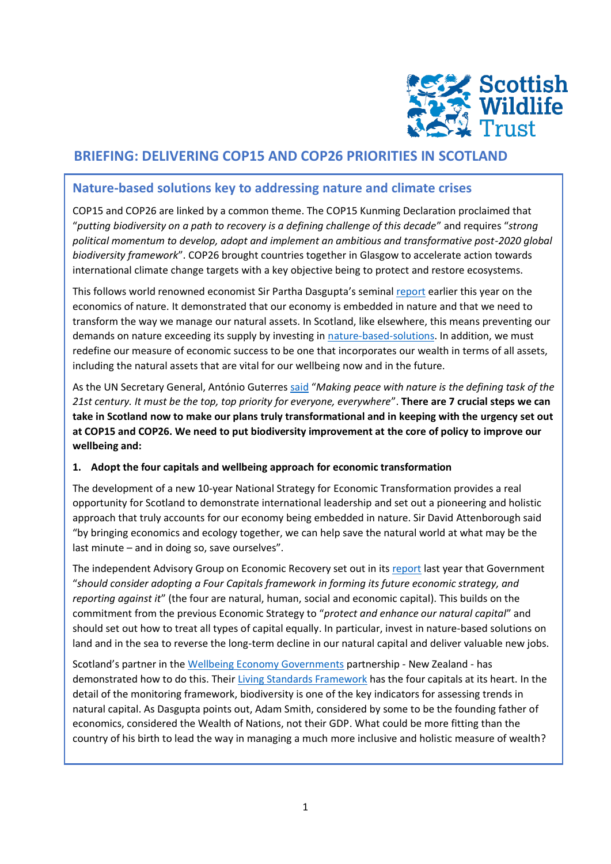

# **BRIEFING: DELIVERING COP15 AND COP26 PRIORITIES IN SCOTLAND**

## **Nature-based solutions key to addressing nature and climate crises**

COP15 and COP26 are linked by a common theme. The COP15 Kunming Declaration proclaimed that "*putting biodiversity on a path to recovery is a defining challenge of this decade*" and requires "*strong political momentum to develop, adopt and implement an ambitious and transformative post-2020 global biodiversity framework*". COP26 brought countries together in Glasgow to accelerate action towards international climate change targets with a key objective being to protect and restore ecosystems.

This follows world renowned economist Sir Partha Dasgupta's seminal [report](https://assets.publishing.service.gov.uk/government/uploads/system/uploads/attachment_data/file/962785/The_Economics_of_Biodiversity_The_Dasgupta_Review_Full_Report.pdf) earlier this year on the economics of nature. It demonstrated that our economy is embedded in nature and that we need to transform the way we manage our natural assets. In Scotland, like elsewhere, this means preventing our demands on nature exceeding its supply by investing in [nature-based-solutions.](https://scottishwildlifetrust.org.uk/2021/05/what-is-a-nature-based-solution/) In addition, we must redefine our measure of economic success to be one that incorporates our wealth in terms of all assets, including the natural assets that are vital for our wellbeing now and in the future.

As the UN Secretary General, António Guterres [said](https://twitter.com/antonioguterres/status/1334252460509179907?lang=en) "*Making peace with nature is the defining task of the 21st century. It must be the top, top priority for everyone, everywhere*". **There are 7 crucial steps we can take in Scotland now to make our plans truly transformational and in keeping with the urgency set out at COP15 and COP26. We need to put biodiversity improvement at the core of policy to improve our wellbeing and:**

### **1. Adopt the four capitals and wellbeing approach for economic transformation**

The development of a new 10-year National Strategy for Economic Transformation provides a real opportunity for Scotland to demonstrate international leadership and set out a pioneering and holistic approach that truly accounts for our economy being embedded in nature. Sir David Attenborough said "by bringing economics and ecology together, we can help save the natural world at what may be the last minute – and in doing so, save ourselves".

The independent Advisory Group on Economic Recovery set out in its [report](https://www.gov.scot/publications/towards-robust-resilient-wellbeing-economy-scotland-report-advisory-group-economic-recovery/) last year that Government "*should consider adopting a Four Capitals framework in forming its future economic strategy, and reporting against it*" (the four are natural, human, social and economic capital). This builds on the commitment from the previous Economic Strategy to "*protect and enhance our natural capital*" and should set out how to treat all types of capital equally. In particular, invest in nature-based solutions on land and in the sea to reverse the long-term decline in our natural capital and deliver valuable new jobs.

Scotland's partner in the [Wellbeing Economy Governments](https://weall.org/wego) partnership - New Zealand - has demonstrated how to do this. Their [Living Standards Framework](https://lsfdashboard.treasury.govt.nz/wellbeing/) has the four capitals at its heart. In the detail of the monitoring framework, biodiversity is one of the key indicators for assessing trends in natural capital. As Dasgupta points out, Adam Smith, considered by some to be the founding father of economics, considered the Wealth of Nations, not their GDP. What could be more fitting than the country of his birth to lead the way in managing a much more inclusive and holistic measure of wealth?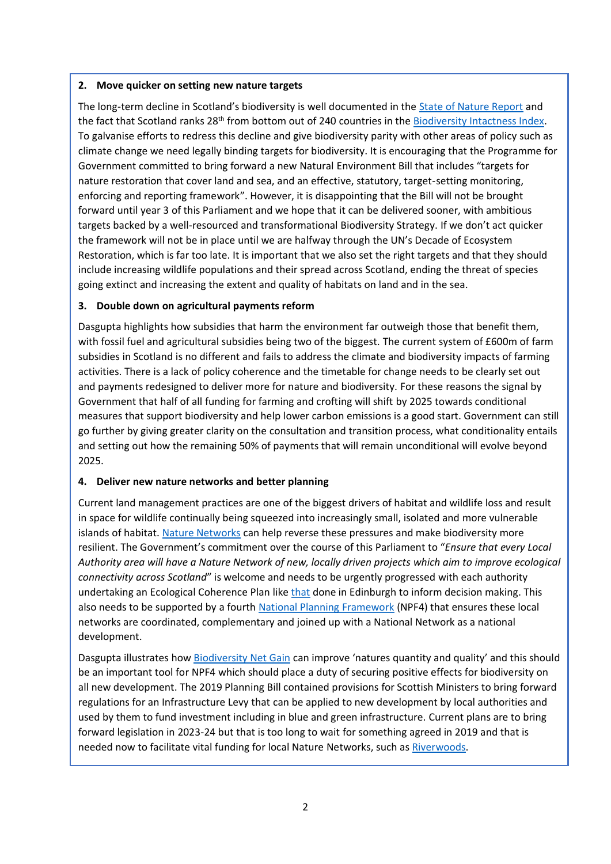#### **2. Move quicker on setting new nature targets**

The long-term decline in Scotland's biodiversity is well documented in the [State of Nature Report](https://nbn.org.uk/wp-content/uploads/2019/10/State-of-Nature-2019-Scotland-summary-v2.pdf) and the fact that Scotland ranks 28<sup>th</sup> from bottom out of 240 countries in the [Biodiversity Intactness Index.](https://www.rspb.org.uk/globalassets/downloads/about-us/48398rspb-biodivesity-intactness-index-summary-report-v4.pdf) To galvanise efforts to redress this decline and give biodiversity parity with other areas of policy such as climate change we need legally binding targets for biodiversity. It is encouraging that the Programme for Government committed to bring forward a new Natural Environment Bill that includes "targets for nature restoration that cover land and sea, and an effective, statutory, target-setting monitoring, enforcing and reporting framework". However, it is disappointing that the Bill will not be brought forward until year 3 of this Parliament and we hope that it can be delivered sooner, with ambitious targets backed by a well-resourced and transformational Biodiversity Strategy. If we don't act quicker the framework will not be in place until we are halfway through the UN's Decade of Ecosystem Restoration, which is far too late. It is important that we also set the right targets and that they should include increasing wildlife populations and their spread across Scotland, ending the threat of species going extinct and increasing the extent and quality of habitats on land and in the sea.

### **3. Double down on agricultural payments reform**

Dasgupta highlights how subsidies that harm the environment far outweigh those that benefit them, with fossil fuel and agricultural subsidies being two of the biggest. The current system of £600m of farm subsidies in Scotland is no different and fails to address the climate and biodiversity impacts of farming activities. There is a lack of policy coherence and the timetable for change needs to be clearly set out and payments redesigned to deliver more for nature and biodiversity. For these reasons the signal by Government that half of all funding for farming and crofting will shift by 2025 towards conditional measures that support biodiversity and help lower carbon emissions is a good start. Government can still go further by giving greater clarity on the consultation and transition process, what conditionality entails and setting out how the remaining 50% of payments that will remain unconditional will evolve beyond 2025.

### **4. Deliver new nature networks and better planning**

Current land management practices are one of the biggest drivers of habitat and wildlife loss and result in space for wildlife continually being squeezed into increasingly small, isolated and more vulnerable islands of habitat. [Nature Networks](https://www.scotlink.org/link-campaigns/nature-networks-matter/) can help reverse these pressures and make biodiversity more resilient. The Government's commitment over the course of this Parliament to "*Ensure that every Local Authority area will have a Nature Network of new, locally driven projects which aim to improve ecological connectivity across Scotland*" is welcome and needs to be urgently progressed with each authority undertaking an Ecological Coherence Plan lik[e that](https://www.thrivinggreenspaces.scot/project/workstreams/4?documentId=16&categoryId=1) done in Edinburgh to inform decision making. This also needs to be supported by a fourth [National Planning Framework](https://consult.gov.scot/planning-architecture/national-planning-framework-position-statement/) (NPF4) that ensures these local networks are coordinated, complementary and joined up with a National Network as a national development.

Dasgupta illustrates how [Biodiversity Net Gain](https://www.scotlink.org/wp-content/uploads/2021/09/Biodiversity-Net-Gain-Webinar-Report-Sept-2021.docx.pdf) can improve 'natures quantity and quality' and this should be an important tool for NPF4 which should place a duty of securing positive effects for biodiversity on all new development. The 2019 Planning Bill contained provisions for Scottish Ministers to bring forward regulations for an Infrastructure Levy that can be applied to new development by local authorities and used by them to fund investment including in blue and green infrastructure. Current plans are to bring forward legislation in 2023-24 but that is too long to wait for something agreed in 2019 and that is needed now to facilitate vital funding for local Nature Networks, such a[s Riverwoods.](https://scottishwildlifetrust.org.uk/our-work/our-projects/riverwoods/)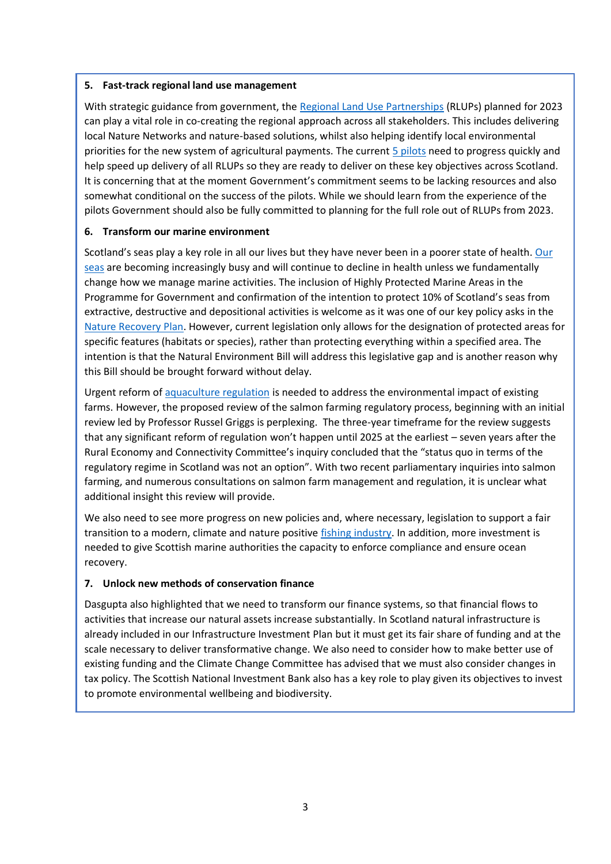#### **5. Fast-track regional land use management**

With strategic guidance from government, the [Regional Land Use Partnerships](https://www.landcommission.gov.scot/news-events/news/regional-land-use-partnerships-to-help-drive-urgent-climate-action) (RLUPs) planned for 2023 can play a vital role in co-creating the regional approach across all stakeholders. This includes delivering local Nature Networks and nature-based solutions, whilst also helping identify local environmental priorities for the new system of agricultural payments. The current [5 pilots](https://blogs.gov.scot/rural-environment/2021/02/05/working-together-to-maximise-the-potential-of-our-land/) need to progress quickly and help speed up delivery of all RLUPs so they are ready to deliver on these key objectives across Scotland. It is concerning that at the moment Government's commitment seems to be lacking resources and also somewhat conditional on the success of the pilots. While we should learn from the experience of the pilots Government should also be fully committed to planning for the full role out of RLUPs from 2023.

### **6. Transform our marine environment**

Scotland's seas play a key role in all our lives but they have never been in a poorer state of health. Our [seas](https://scottishwildlifetrust.org.uk/our-work/our-projects/living-seas/) are becoming increasingly busy and will continue to decline in health unless we fundamentally change how we manage marine activities. The inclusion of Highly Protected Marine Areas in the Programme for Government and confirmation of the intention to protect 10% of Scotland's seas from extractive, destructive and depositional activities is welcome as it was one of our key policy asks in the [Nature Recovery Plan.](https://scottishwildlifetrust.org.uk/our-work/our-advocacy/policies-and-positions/nature-recovery-plan/) However, current legislation only allows for the designation of protected areas for specific features (habitats or species), rather than protecting everything within a specified area. The intention is that the Natural Environment Bill will address this legislative gap and is another reason why this Bill should be brought forward without delay.

Urgent reform of [aquaculture regulation](https://scottishwildlifetrust.org.uk/wp-content/uploads/2016/09/Finfish-aquaculture-policy.pdf) is needed to address the environmental impact of existing farms. However, the proposed review of the salmon farming regulatory process, beginning with an initial review led by Professor Russel Griggs is perplexing. The three-year timeframe for the review suggests that any significant reform of regulation won't happen until 2025 at the earliest – seven years after the Rural Economy and Connectivity Committee's inquiry concluded that the "status quo in terms of the regulatory regime in Scotland was not an option". With two recent parliamentary inquiries into salmon farming, and numerous consultations on salmon farm management and regulation, it is unclear what additional insight this review will provide.

We also need to see more progress on new policies and, where necessary, legislation to support a fair transition to a modern, climate and nature positive [fishing industry.](https://scottishwildlifetrust.org.uk/wp-content/uploads/2021/03/Fisheries-Management-Policy_Final.pdf) In addition, more investment is needed to give Scottish marine authorities the capacity to enforce compliance and ensure ocean recovery.

### **7. Unlock new methods of conservation finance**

Dasgupta also highlighted that we need to transform our finance systems, so that financial flows to activities that increase our natural assets increase substantially. In Scotland natural infrastructure is already included in our Infrastructure Investment Plan but it must get its fair share of funding and at the scale necessary to deliver transformative change. We also need to consider how to make better use of existing funding and the Climate Change Committee has advised that we must also consider changes in tax policy. The Scottish National Investment Bank also has a key role to play given its objectives to invest to promote environmental wellbeing and biodiversity.